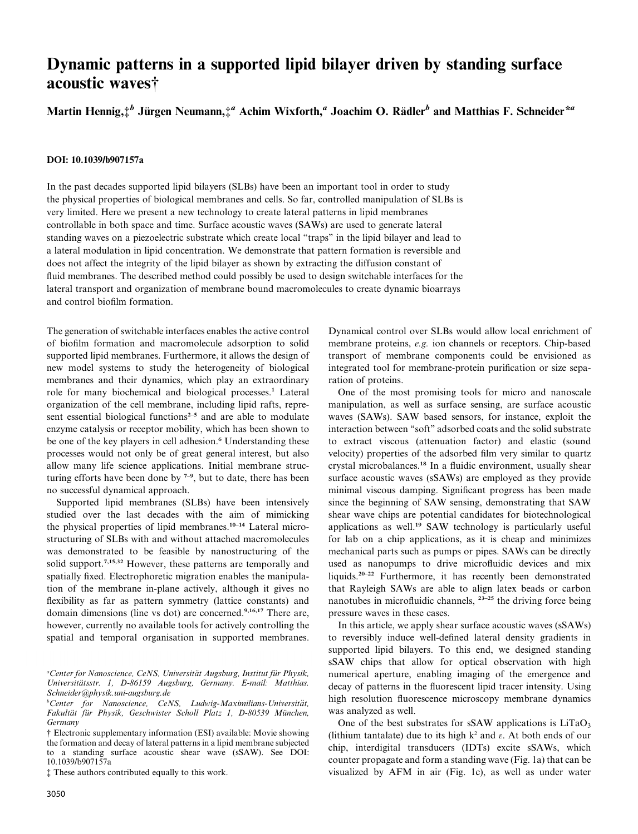# Dynamic patterns in a supported lipid bilayer driven by standing surface acoustic waves†

Martin Hennig, $\ddagger^b$  Jürgen Neumann, $\ddagger^a$  Achim Wixforth, $^a$  Joachim O. Rädler $^b$  and Matthias F. Schneider $^{*a}$ 

#### DOI: 10.1039/b907157a

In the past decades supported lipid bilayers (SLBs) have been an important tool in order to study the physical properties of biological membranes and cells. So far, controlled manipulation of SLBs is very limited. Here we present a new technology to create lateral patterns in lipid membranes controllable in both space and time. Surface acoustic waves (SAWs) are used to generate lateral standing waves on a piezoelectric substrate which create local ''traps'' in the lipid bilayer and lead to a lateral modulation in lipid concentration. We demonstrate that pattern formation is reversible and does not affect the integrity of the lipid bilayer as shown by extracting the diffusion constant of fluid membranes. The described method could possibly be used to design switchable interfaces for the lateral transport and organization of membrane bound macromolecules to create dynamic bioarrays and control biofilm formation.

The generation of switchable interfaces enables the active control of biofilm formation and macromolecule adsorption to solid supported lipid membranes. Furthermore, it allows the design of new model systems to study the heterogeneity of biological membranes and their dynamics, which play an extraordinary role for many biochemical and biological processes. <sup>1</sup> Lateral organization of the cell membrane, including lipid rafts, represent essential biological functions 2–5 and are able to modulate enzyme catalysis or receptor mobility, which has been shown to be one of the key players in cell adhesion. <sup>6</sup> Understanding these processes would not only be of great general interest, but also allow many life science applications. Initial membrane structuring efforts have been done by  $7-9$ , but to date, there has been no successful dynamical approach.

Supported lipid membranes (SLBs) have been intensively studied over the last decades with the aim of mimicking the physical properties of lipid membranes. 10–14 Lateral microstructuring of SLBs with and without attached macromolecules was demonstrated to be feasible by nanostructuring of the solid support.<sup>7,15,32</sup> However, these patterns are temporally and spatially fixed. Electrophoretic migration enables the manipulation of the membrane in-plane actively, although it gives no flexibility as far as pattern symmetry (lattice constants) and domain dimensions (line vs dot) are concerned. 9,16,17 There are, however, currently no available tools for actively controlling the spatial and temporal organisation in supported membranes.

<sup>a</sup>Center for Nanoscience, CeNS, Universität Augsburg, Institut für Physik, Universitätsstr. 1, D-86159 Augsburg, Germany. E-mail: Matthias. Schneider@physik.uni-augsburg.de

 $b$ Center for Nanoscience, CeNS, Ludwig-Maximilians-Universität, Fakultät für Physik, Geschwister Scholl Platz 1, D-80539 München, **Germany** 

† Electronic supplementary information (ESI) available: Movie showing the formation and decay of lateral patterns in a lipid membrane subjected to a standing surface acoustic shear wave (sSAW). See DOI: 10.1039/b907157a

‡ These authors contributed equally to this work.

Dynamical control over SLBs would allow local enrichment of membrane proteins, e.g. ion channels or receptors. Chip-based transport of membrane components could be envisioned as integrated tool for membrane-protein purification or size separation of proteins.

One of the most promising tools for micro and nanoscale manipulation, as well as surface sensing, are surface acoustic waves (SAWs). SAW based sensors, for instance, exploit the interaction between ''soft'' adsorbed coats and the solid substrate to extract viscous (attenuation factor) and elastic (sound velocity) properties of the adsorbed film very similar to quartz crystal microbalances. 18 In a fluidic environment, usually shear surface acoustic waves (sSAWs) are employed as they provide minimal viscous damping. Significant progress has been made since the beginning of SAW sensing, demonstrating that SAW shear wave chips are potential candidates for biotechnological applications as well. <sup>19</sup> SAW technology is particularly useful for lab on a chip applications, as it is cheap and minimizes mechanical parts such as pumps or pipes. SAWs can be directly used as nanopumps to drive microfluidic devices and mix liquids.<sup>20-22</sup> Furthermore, it has recently been demonstrated that Rayleigh SAWs are able to align latex beads or carbon nanotubes in microfluidic channels, 23–25 the driving force being pressure waves in these cases.

In this article, we apply shear surface acoustic waves (sSAWs) to reversibly induce well-defined lateral density gradients in supported lipid bilayers. To this end, we designed standing sSAW chips that allow for optical observation with high numerical aperture, enabling imaging of the emergence and decay of patterns in the fluorescent lipid tracer intensity. Using high resolution fluorescence microscopy membrane dynamics was analyzed as well.

One of the best substrates for sSAW applications is  $LiTaO<sub>3</sub>$ (lithium tantalate) due to its high  $k^2$  and  $\varepsilon$ . At both ends of our chip, interdigital transducers (IDTs) excite sSAWs, which counter propagate and form a standing wave (Fig. 1a) that can be visualized by AFM in air (Fig. 1c), as well as under water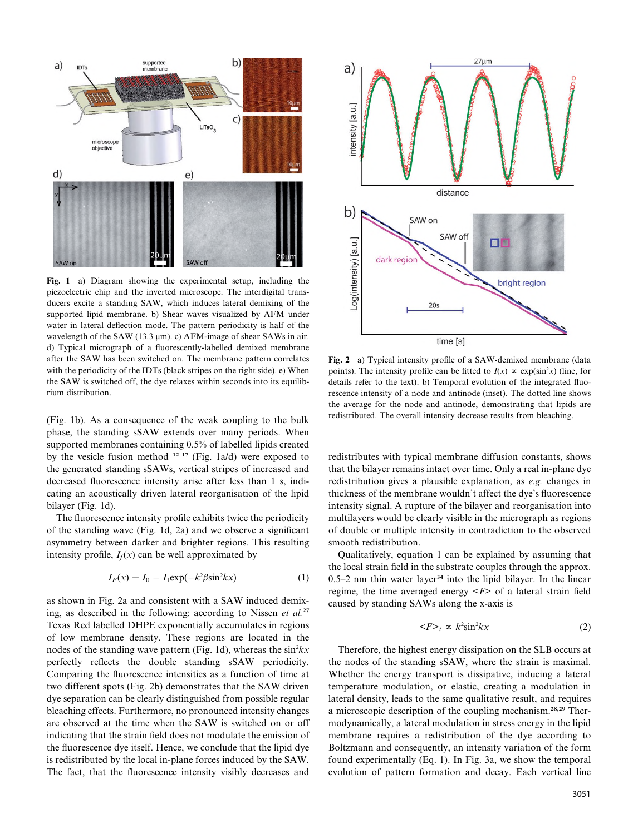

Fig. 1 a) Diagram showing the experimental setup, including the piezoelectric chip and the inverted microscope. The interdigital transducers excite a standing SAW, which induces lateral demixing of the supported lipid membrane. b) Shear waves visualized by AFM under water in lateral deflection mode. The pattern periodicity is half of the wavelength of the SAW (13.3  $\mu$ m). c) AFM-image of shear SAWs in air. d) Typical micrograph of a fluorescently-labelled demixed membrane after the SAW has been switched on. The membrane pattern correlates with the periodicity of the IDTs (black stripes on the right side). e) When the SAW is switched off, the dye relaxes within seconds into its equilibrium distribution.

(Fig. 1b). As a consequence of the weak coupling to the bulk phase, the standing sSAW extends over many periods. When supported membranes containing 0.5% of labelled lipids created by the vesicle fusion method  $12-17$  (Fig. 1a/d) were exposed to the generated standing sSAWs, vertical stripes of increased and decreased fluorescence intensity arise after less than 1 s, indicating an acoustically driven lateral reorganisation of the lipid bilayer (Fig. 1d).

The fluorescence intensity profile exhibits twice the periodicity of the standing wave (Fig. 1d, 2a) and we observe a significant asymmetry between darker and brighter regions. This resulting intensity profile,  $I_f(x)$  can be well approximated by

$$
I_F(x) = I_0 - I_1 \exp(-k^2 \beta \sin^2 kx) \tag{1}
$$

as shown in Fig. 2a and consistent with a SAW induced demixing, as described in the following: according to Nissen et al.<sup>27</sup> Texas Red labelled DHPE exponentially accumulates in regions of low membrane density. These regions are located in the nodes of the standing wave pattern (Fig. 1d), whereas the  $\sin^2 kx$ perfectly reflects the double standing sSAW periodicity. Comparing the fluorescence intensities as a function of time at two different spots (Fig. 2b) demonstrates that the SAW driven dye separation can be clearly distinguished from possible regular bleaching effects. Furthermore, no pronounced intensity changes are observed at the time when the SAW is switched on or off indicating that the strain field does not modulate the emission of the fluorescence dye itself. Hence, we conclude that the lipid dye is redistributed by the local in-plane forces induced by the SAW. The fact, that the fluorescence intensity visibly decreases and



Fig. 2 a) Typical intensity profile of a SAW-demixed membrane (data points). The intensity profile can be fitted to  $I(x) \propto \exp(\sin^2 x)$  (line, for details refer to the text). b) Temporal evolution of the integrated fluorescence intensity of a node and antinode (inset). The dotted line shows the average for the node and antinode, demonstrating that lipids are redistributed. The overall intensity decrease results from bleaching.

redistributes with typical membrane diffusion constants, shows that the bilayer remains intact over time. Only a real in-plane dye redistribution gives a plausible explanation, as e.g. changes in thickness of the membrane wouldn't affect the dye's fluorescence intensity signal. A rupture of the bilayer and reorganisation into multilayers would be clearly visible in the micrograph as regions of double or multiple intensity in contradiction to the observed smooth redistribution.

Qualitatively, equation 1 can be explained by assuming that the local strain field in the substrate couples through the approx. 0.5–2 nm thin water layer 34 into the lipid bilayer. In the linear regime, the time averaged energy  $\leq F$  of a lateral strain field caused by standing SAWs along the x-axis is

$$
\langle F \rangle_t \propto k^2 \sin^2 kx \tag{2}
$$

Therefore, the highest energy dissipation on the SLB occurs at the nodes of the standing sSAW, where the strain is maximal. Whether the energy transport is dissipative, inducing a lateral temperature modulation, or elastic, creating a modulation in lateral density, leads to the same qualitative result, and requires a microscopic description of the coupling mechanism. 28,29 Thermodynamically, a lateral modulation in stress energy in the lipid membrane requires a redistribution of the dye according to Boltzmann and consequently, an intensity variation of the form found experimentally (Eq. 1). In Fig. 3a, we show the temporal evolution of pattern formation and decay. Each vertical line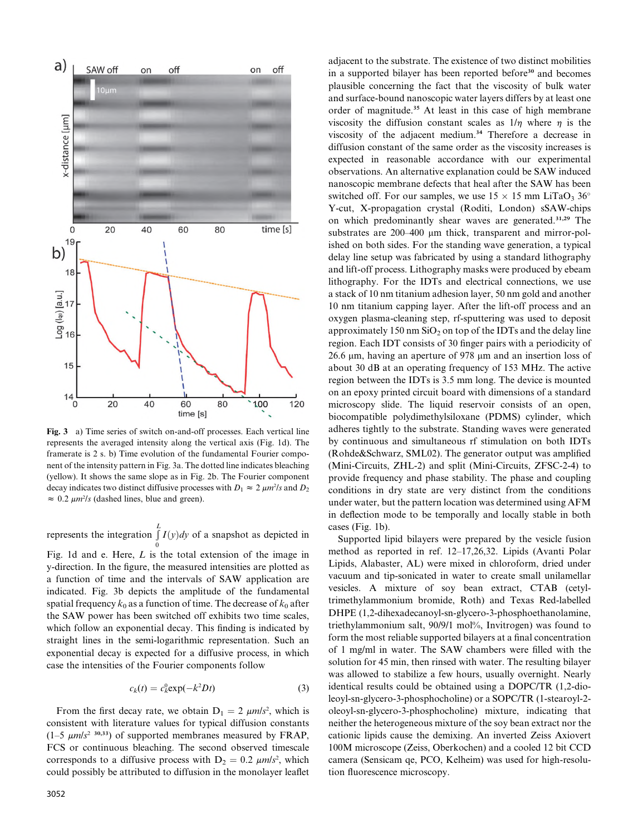

Fig. 3 a) Time series of switch on-and-off processes. Each vertical line represents the averaged intensity along the vertical axis (Fig. 1d). The framerate is 2 s. b) Time evolution of the fundamental Fourier component of the intensity pattern in Fig. 3a. The dotted line indicates bleaching (yellow). It shows the same slope as in Fig. 2b. The Fourier component decay indicates two distinct diffusive processes with  $D_1 \approx 2 \ \mu m^2/s$  and  $D_2$  $\approx 0.2 \ \mu m^2/s$  (dashed lines, blue and green).

represents the integration  $\int$  $\int_{0}^{x} I(y) dy$  of a snapshot as depicted in

Fig. 1d and e. Here,  $L$  is the total extension of the image in y-direction. In the figure, the measured intensities are plotted as a function of time and the intervals of SAW application are indicated. Fig. 3b depicts the amplitude of the fundamental spatial frequency  $k_0$  as a function of time. The decrease of  $k_0$  after the SAW power has been switched off exhibits two time scales, which follow an exponential decay. This finding is indicated by straight lines in the semi-logarithmic representation. Such an exponential decay is expected for a diffusive process, in which case the intensities of the Fourier components follow

$$
c_k(t) = c_k^0 \exp(-k^2 Dt) \tag{3}
$$

From the first decay rate, we obtain  $D_1 = 2 \mu m/s^2$ , which is consistent with literature values for typical diffusion constants  $(1-5 \mu m/s^2)^{30,33}$  of supported membranes measured by FRAP, FCS or continuous bleaching. The second observed timescale corresponds to a diffusive process with  $D_2 = 0.2 \ \mu m/s^2$ , which could possibly be attributed to diffusion in the monolayer leaflet

in a supported bilayer has been reported before 30 and becomes plausible concerning the fact that the viscosity of bulk water and surface-bound nanoscopic water layers differs by at least one order of magnitude. <sup>35</sup> At least in this case of high membrane viscosity the diffusion constant scales as  $1/n$  where  $n$  is the viscosity of the adjacent medium. <sup>34</sup> Therefore a decrease in diffusion constant of the same order as the viscosity increases is expected in reasonable accordance with our experimental observations. An alternative explanation could be SAW induced nanoscopic membrane defects that heal after the SAW has been switched off. For our samples, we use  $15 \times 15$  mm LiTaO<sub>3</sub> 36<sup>c</sup> Y-cut, X-propagation crystal (Roditi, London) sSAW-chips on which predominantly shear waves are generated. 31,29 The substrates are 200–400 µm thick, transparent and mirror-polished on both sides. For the standing wave generation, a typical delay line setup was fabricated by using a standard lithography and lift-off process. Lithography masks were produced by ebeam lithography. For the IDTs and electrical connections, we use a stack of 10 nm titanium adhesion layer, 50 nm gold and another 10 nm titanium capping layer. After the lift-off process and an oxygen plasma-cleaning step, rf-sputtering was used to deposit approximately 150 nm  $SiO<sub>2</sub>$  on top of the IDTs and the delay line region. Each IDT consists of 30 finger pairs with a periodicity of 26.6 um, having an aperture of 978 um and an insertion loss of about 30 dB at an operating frequency of 153 MHz. The active region between the IDTs is 3.5 mm long. The device is mounted on an epoxy printed circuit board with dimensions of a standard microscopy slide. The liquid reservoir consists of an open, biocompatible polydimethylsiloxane (PDMS) cylinder, which adheres tightly to the substrate. Standing waves were generated by continuous and simultaneous rf stimulation on both IDTs (Rohde&Schwarz, SML02). The generator output was amplified (Mini-Circuits, ZHL-2) and split (Mini-Circuits, ZFSC-2-4) to provide frequency and phase stability. The phase and coupling conditions in dry state are very distinct from the conditions under water, but the pattern location was determined using AFM in deflection mode to be temporally and locally stable in both cases (Fig. 1b). Supported lipid bilayers were prepared by the vesicle fusion method as reported in ref. 12–17,26,32. Lipids (Avanti Polar

adjacent to the substrate. The existence of two distinct mobilities

Lipids, Alabaster, AL) were mixed in chloroform, dried under vacuum and tip-sonicated in water to create small unilamellar vesicles. A mixture of soy bean extract, CTAB (cetyltrimethylammonium bromide, Roth) and Texas Red-labelled DHPE (1,2-dihexadecanoyl-sn-glycero-3-phosphoethanolamine, triethylammonium salt, 90/9/1 mol%, Invitrogen) was found to form the most reliable supported bilayers at a final concentration of 1 mg/ml in water. The SAW chambers were filled with the solution for 45 min, then rinsed with water. The resulting bilayer was allowed to stabilize a few hours, usually overnight. Nearly identical results could be obtained using a DOPC/TR (1,2-dioleoyl-sn-glycero-3-phosphocholine) or a SOPC/TR (1-stearoyl-2 oleoyl-sn-glycero-3-phosphocholine) mixture, indicating that neither the heterogeneous mixture of the soy bean extract nor the cationic lipids cause the demixing. An inverted Zeiss Axiovert 100M microscope (Zeiss, Oberkochen) and a cooled 12 bit CCD camera (Sensicam qe, PCO, Kelheim) was used for high-resolution fluorescence microscopy.